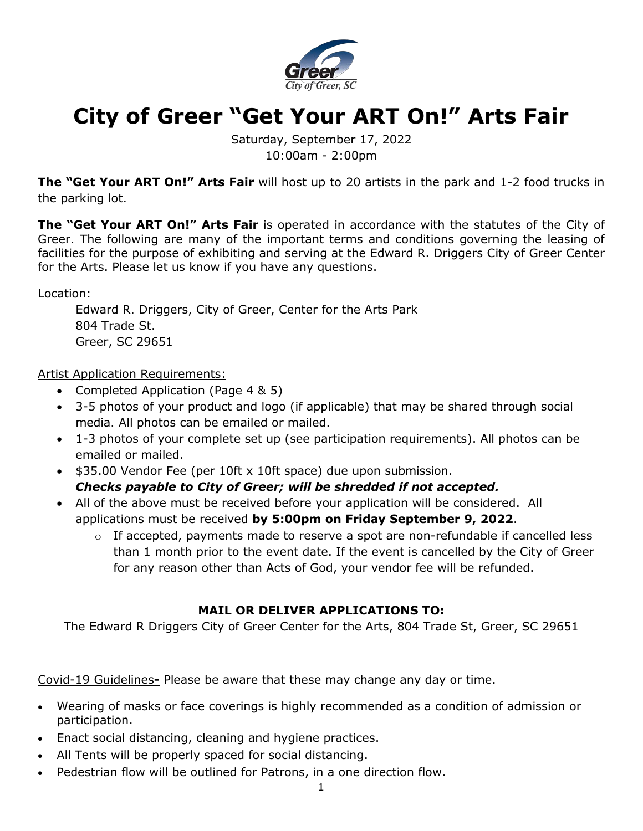

# **City of Greer "Get Your ART On!" Arts Fair**

Saturday, September 17, 2022 10:00am - 2:00pm

**The "Get Your ART On!" Arts Fair** will host up to 20 artists in the park and 1-2 food trucks in the parking lot.

**The "Get Your ART On!" Arts Fair** is operated in accordance with the statutes of the City of Greer. The following are many of the important terms and conditions governing the leasing of facilities for the purpose of exhibiting and serving at the Edward R. Driggers City of Greer Center for the Arts. Please let us know if you have any questions.

Location:

Edward R. Driggers, City of Greer, Center for the Arts Park 804 Trade St. Greer, SC 29651

Artist Application Requirements:

- Completed Application (Page 4 & 5)
- 3-5 photos of your product and logo (if applicable) that may be shared through social media. All photos can be emailed or mailed.
- 1-3 photos of your complete set up (see participation requirements). All photos can be emailed or mailed.
- \$35.00 Vendor Fee (per 10ft x 10ft space) due upon submission. *Checks payable to City of Greer; will be shredded if not accepted.*
- All of the above must be received before your application will be considered. All applications must be received **by 5:00pm on Friday September 9, 2022**.
	- $\circ$  If accepted, payments made to reserve a spot are non-refundable if cancelled less than 1 month prior to the event date. If the event is cancelled by the City of Greer for any reason other than Acts of God, your vendor fee will be refunded.

# **MAIL OR DELIVER APPLICATIONS TO:**

The Edward R Driggers City of Greer Center for the Arts, 804 Trade St, Greer, SC 29651

Covid-19 Guidelines**-** Please be aware that these may change any day or time.

- Wearing of masks or face coverings is highly recommended as a condition of admission or participation.
- Enact social distancing, cleaning and hygiene practices.
- All Tents will be properly spaced for social distancing.
- Pedestrian flow will be outlined for Patrons, in a one direction flow.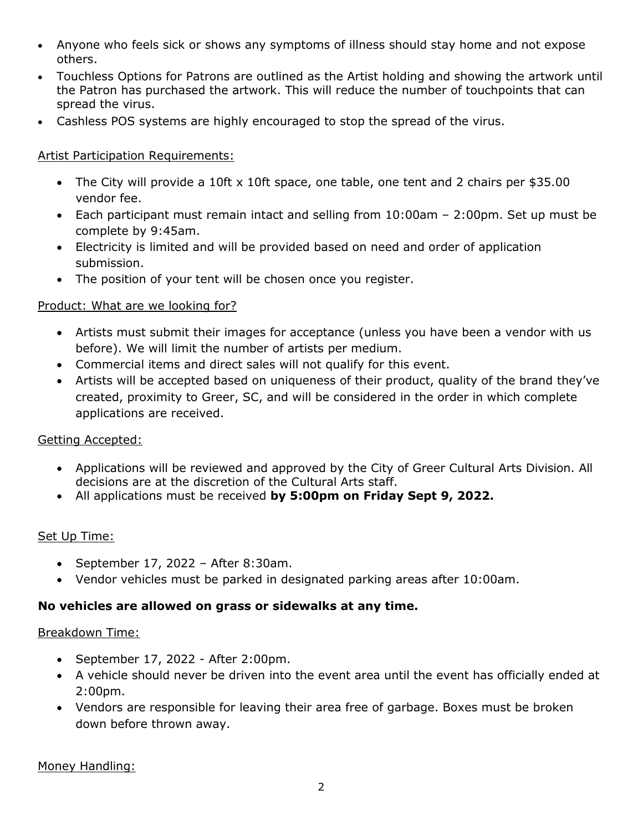- Anyone who feels sick or shows any symptoms of illness should stay home and not expose others.
- Touchless Options for Patrons are outlined as the Artist holding and showing the artwork until the Patron has purchased the artwork. This will reduce the number of touchpoints that can spread the virus.
- Cashless POS systems are highly encouraged to stop the spread of the virus.

# Artist Participation Requirements:

- The City will provide a 10ft x 10ft space, one table, one tent and 2 chairs per \$35.00 vendor fee.
- Each participant must remain intact and selling from 10:00am 2:00pm. Set up must be complete by 9:45am.
- Electricity is limited and will be provided based on need and order of application submission.
- The position of your tent will be chosen once you register.

## Product: What are we looking for?

- Artists must submit their images for acceptance (unless you have been a vendor with us before). We will limit the number of artists per medium.
- Commercial items and direct sales will not qualify for this event.
- Artists will be accepted based on uniqueness of their product, quality of the brand they've created, proximity to Greer, SC, and will be considered in the order in which complete applications are received.

#### Getting Accepted:

- Applications will be reviewed and approved by the City of Greer Cultural Arts Division. All decisions are at the discretion of the Cultural Arts staff.
- All applications must be received **by 5:00pm on Friday Sept 9, 2022.**

#### Set Up Time:

- September 17, 2022 After 8:30am.
- Vendor vehicles must be parked in designated parking areas after 10:00am.

#### **No vehicles are allowed on grass or sidewalks at any time.**

#### Breakdown Time:

- September 17, 2022 After 2:00pm.
- A vehicle should never be driven into the event area until the event has officially ended at 2:00pm.
- Vendors are responsible for leaving their area free of garbage. Boxes must be broken down before thrown away.

Money Handling: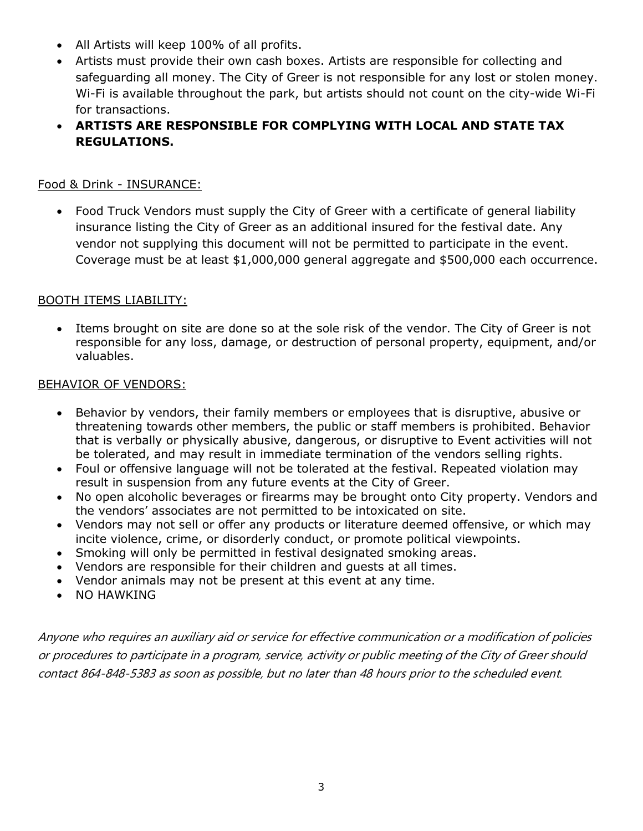- All Artists will keep 100% of all profits.
- Artists must provide their own cash boxes. Artists are responsible for collecting and safeguarding all money. The City of Greer is not responsible for any lost or stolen money. Wi-Fi is available throughout the park, but artists should not count on the city-wide Wi-Fi for transactions.
- **ARTISTS ARE RESPONSIBLE FOR COMPLYING WITH LOCAL AND STATE TAX REGULATIONS.**

# Food & Drink - INSURANCE:

• Food Truck Vendors must supply the City of Greer with a certificate of general liability insurance listing the City of Greer as an additional insured for the festival date. Any vendor not supplying this document will not be permitted to participate in the event. Coverage must be at least \$1,000,000 general aggregate and \$500,000 each occurrence.

## BOOTH ITEMS LIABILITY:

Items brought on site are done so at the sole risk of the vendor. The City of Greer is not responsible for any loss, damage, or destruction of personal property, equipment, and/or valuables.

#### BEHAVIOR OF VENDORS:

- Behavior by vendors, their family members or employees that is disruptive, abusive or threatening towards other members, the public or staff members is prohibited. Behavior that is verbally or physically abusive, dangerous, or disruptive to Event activities will not be tolerated, and may result in immediate termination of the vendors selling rights.
- Foul or offensive language will not be tolerated at the festival. Repeated violation may result in suspension from any future events at the City of Greer.
- No open alcoholic beverages or firearms may be brought onto City property. Vendors and the vendors' associates are not permitted to be intoxicated on site.
- Vendors may not sell or offer any products or literature deemed offensive, or which may incite violence, crime, or disorderly conduct, or promote political viewpoints.
- Smoking will only be permitted in festival designated smoking areas.
- Vendors are responsible for their children and guests at all times.
- Vendor animals may not be present at this event at any time.
- NO HAWKING

Anyone who requires an auxiliary aid or service for effective communication or a modification of policies or procedures to participate in a program, service, activity or public meeting of the City of Greer should contact 864-848-5383 as soon as possible, but no later than 48 hours prior to the scheduled event.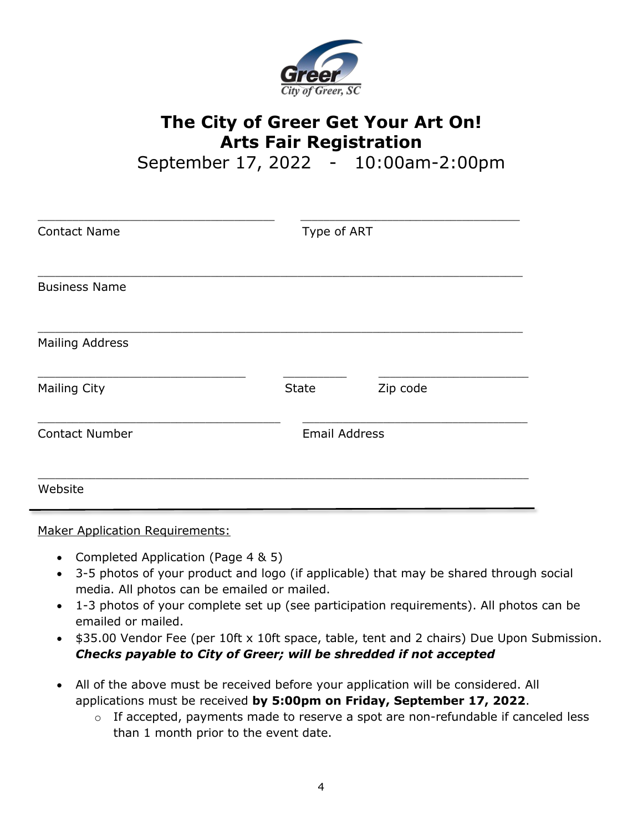

# **The City of Greer Get Your Art On! Arts Fair Registration**

September 17, 2022 - 10:00am-2:00pm

| <b>Contact Name</b>    | Type of ART          |          |  |
|------------------------|----------------------|----------|--|
| <b>Business Name</b>   |                      |          |  |
| <b>Mailing Address</b> |                      |          |  |
| <b>Mailing City</b>    | <b>State</b>         | Zip code |  |
| <b>Contact Number</b>  | <b>Email Address</b> |          |  |
| Website                |                      |          |  |

Maker Application Requirements:

- Completed Application (Page 4 & 5)
- 3-5 photos of your product and logo (if applicable) that may be shared through social media. All photos can be emailed or mailed.
- 1-3 photos of your complete set up (see participation requirements). All photos can be emailed or mailed.
- \$35.00 Vendor Fee (per 10ft x 10ft space, table, tent and 2 chairs) Due Upon Submission. *Checks payable to City of Greer; will be shredded if not accepted*
- All of the above must be received before your application will be considered. All applications must be received **by 5:00pm on Friday, September 17, 2022**.
	- o If accepted, payments made to reserve a spot are non-refundable if canceled less than 1 month prior to the event date.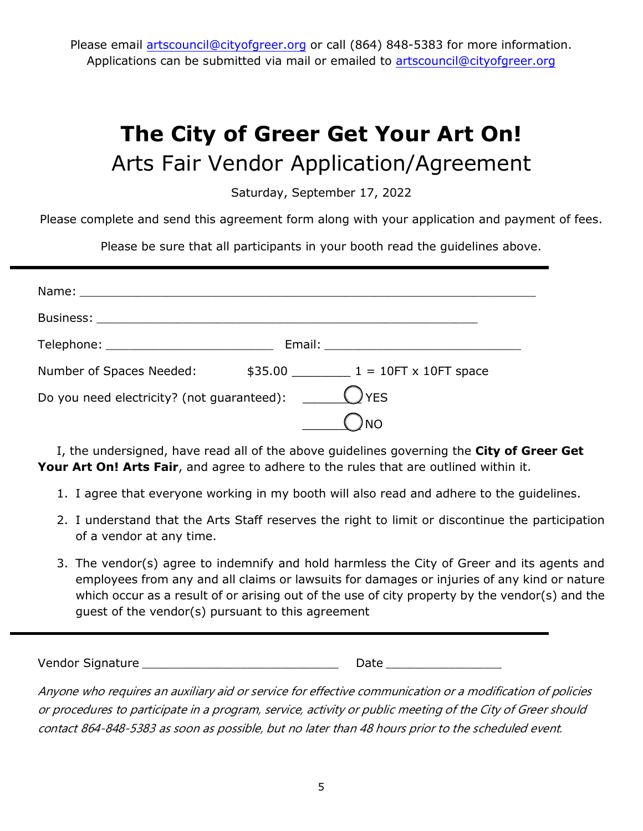Please email artscouncil@cityofgreer.org or call (864) 848-5383 for more information. Applications can be submitted via mail or emailed to artscouncil@cityofgreer.org

# **The City of Greer Get Your Art On!** Arts Fair Vendor Application/Agreement

Saturday, September 17, 2022

Please complete and send this agreement form along with your application and payment of fees.

Please be sure that all participants in your booth read the guidelines above.

| Number of Spaces Needed:                                     |  | $$35.00$ $1 = 10$ FT x 10FT space |  |  |
|--------------------------------------------------------------|--|-----------------------------------|--|--|
| Do you need electricity? (not guaranteed): $\Box$ $\Box$ YES |  |                                   |  |  |
|                                                              |  |                                   |  |  |

I, the undersigned, have read all of the above guidelines governing the **City of Greer Get Your Art On! Arts Fair**, and agree to adhere to the rules that are outlined within it.

- 1. I agree that everyone working in my booth will also read and adhere to the guidelines.
- 2. I understand that the Arts Staff reserves the right to limit or discontinue the participation of a vendor at any time.
- 3. The vendor(s) agree to indemnify and hold harmless the City of Greer and its agents and employees from any and all claims or lawsuits for damages or injuries of any kind or nature which occur as a result of or arising out of the use of city property by the vendor(s) and the guest of the vendor(s) pursuant to this agreement

Vendor Signature \_\_\_\_\_\_\_\_\_\_\_\_\_\_\_\_\_\_\_\_\_\_\_\_\_\_\_\_\_\_\_\_\_\_ Date \_\_\_\_\_\_\_\_\_\_\_\_\_\_\_\_\_\_\_\_

Anyone who requires an auxiliary aid or service for effective communication or a modification of policies or procedures to participate in a program, service, activity or public meeting of the City of Greer should contact 864-848-5383 as soon as possible, but no later than 48 hours prior to the scheduled event.